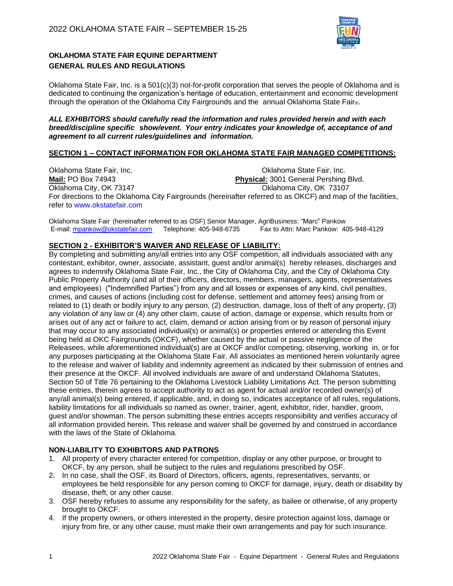

# **OKLAHOMA STATE FAIR EQUINE DEPARTMENT GENERAL RULES AND REGULATIONS**

Oklahoma State Fair, Inc. is a 501(c)(3) not-for-profit corporation that serves the people of Oklahoma and is dedicated to continuing the organization's heritage of education, entertainment and economic development through the operation of the Oklahoma City Fairgrounds and the annual Oklahoma State Fair®.

*ALL EXHIBITORS should carefully read the information and rules provided herein and with each breed/discipline specific show/event. Your entry indicates your knowledge of, acceptance of and agreement to all current rules/guidelines and information.*

#### **SECTION 1 – CONTACT INFORMATION FOR OKLAHOMA STATE FAIR MANAGED COMPETITIONS:**

Oklahoma State Fair, Inc.<br> **Mail:** PO Box 74943<br> **Physical:** 3001 General Pershing **Physical:** 3001 General Pershing Blvd. Oklahoma City, OK 73147 Oklahoma City, OK 73107 For directions to the Oklahoma City Fairgrounds (hereinafter referred to as OKCF) and map of the facilities, refer to [www.okstatefair.com](http://www.okstatefair.com/)

Oklahoma State Fair (hereinafter referred to as OSF) Senior Manager, AgriBusiness: "Marc" Pankow Fax to Attn: Marc Pankow: 405-948-4129

## **SECTION 2 - EXHIBITOR'S WAIVER AND RELEASE OF LIABILITY:**

By completing and submitting any/all entries into any OSF competition, all individuals associated with any contestant, exhibitor, owner, associate, assistant, guest and/or animal(s) hereby releases, discharges and agrees to indemnify Oklahoma State Fair, Inc., the City of Oklahoma City, and the City of Oklahoma City Public Property Authority (and all of their officers, directors, members, managers, agents, representatives and employees) ("Indemnified Parties") from any and all losses or expenses of any kind, civil penalties, crimes, and causes of actions (including cost for defense, settlement and attorney fees) arising from or related to (1) death or bodily injury to any person, (2) destruction, damage, loss of theft of any property, (3) any violation of any law or (4) any other claim, cause of action, damage or expense, which results from or arises out of any act or failure to act, claim, demand or action arising from or by reason of personal injury that may occur to any associated individual(s) or animal(s) or properties entered or attending this Event being held at OKC Fairgrounds (OKCF), whether caused by the actual or passive negligence of the Releasees, while aforementioned individual(s) are at OKCF and/or competing, observing, working in, or for any purposes participating at the Oklahoma State Fair. All associates as mentioned herein voluntarily agree to the release and waiver of liability and indemnity agreement as indicated by their submission of entries and their presence at the OKCF. All involved individuals are aware of and understand Oklahoma Statutes, Section 50 of Title 76 pertaining to the Oklahoma Livestock Liability Limitations Act. The person submitting these entries, therein agrees to accept authority to act as agent for actual and/or recorded owner(s) of any/all animal(s) being entered, if applicable, and, in doing so, indicates acceptance of all rules, regulations, liability limitations for all individuals so named as owner, trainer, agent, exhibitor, rider, handler, groom, guest and/or showman. The person submitting these entries accepts responsibility and verifies accuracy of all information provided herein. This release and waiver shall be governed by and construed in accordance with the laws of the State of Oklahoma.

## **NON-LIABILITY TO EXHIBITORS AND PATRONS**

- 1. All property of every character entered for competition, display or any other purpose, or brought to OKCF, by any person, shall be subject to the rules and regulations prescribed by OSF.
- 2. In no case, shall the OSF, its Board of Directors, officers, agents, representatives, servants, or employees be held responsible for any person coming to OKCF for damage, injury, death or disability by disease, theft, or any other cause.
- 3. OSF hereby refuses to assume any responsibility for the safety, as bailee or otherwise, of any property brought to OKCF.
- 4. If the property owners, or others interested in the property, desire protection against loss, damage or injury from fire, or any other cause, must make their own arrangements and pay for such insurance.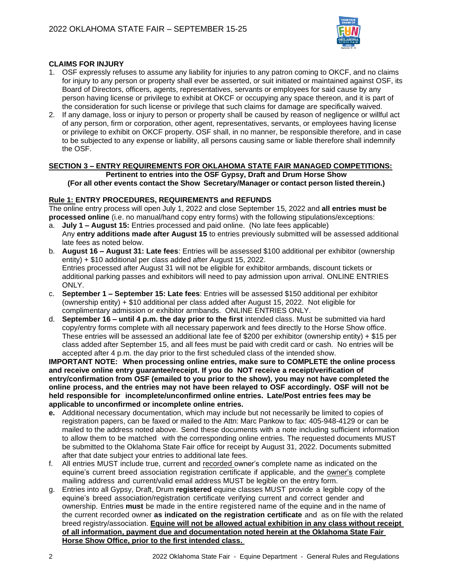

## **CLAIMS FOR INJURY**

- 1. OSF expressly refuses to assume any liability for injuries to any patron coming to OKCF, and no claims for injury to any person or property shall ever be asserted, or suit initiated or maintained against OSF, its Board of Directors, officers, agents, representatives, servants or employees for said cause by any person having license or privilege to exhibit at OKCF or occupying any space thereon, and it is part of the consideration for such license or privilege that such claims for damage are specifically waived.
- 2. If any damage, loss or injury to person or property shall be caused by reason of negligence or willful act of any person, firm or corporation, other agent, representatives, servants, or employees having license or privilege to exhibit on OKCF property. OSF shall, in no manner, be responsible therefore, and in case to be subjected to any expense or liability, all persons causing same or liable therefore shall indemnify the OSF.

# **SECTION 3 – ENTRY REQUIREMENTS FOR OKLAHOMA STATE FAIR MANAGED COMPETITIONS: Pertinent to entries into the OSF Gypsy, Draft and Drum Horse Show**

**(For all other events contact the Show Secretary/Manager or contact person listed therein.)**

## **Rule 1: ENTRY PROCEDURES, REQUIREMENTS and REFUNDS**

The online entry process will open July 1, 2022 and close September 15, 2022 and **all entries must be processed online** (i.e. no manual/hand copy entry forms) with the following stipulations/exceptions:

- a. **July 1 – August 15:** Entries processed and paid online. (No late fees applicable) Any **entry additions made after August 15** to entries previously submitted will be assessed additional late fees as noted below.
- b. **August 16 – August 31: Late fees**: Entries will be assessed \$100 additional per exhibitor (ownership entity) + \$10 additional per class added after August 15, 2022. Entries processed after August 31 will not be eligible for exhibitor armbands, discount tickets or additional parking passes and exhibitors will need to pay admission upon arrival. ONLINE ENTRIES ONLY.
- c. **September 1 – September 15: Late fees**: Entries will be assessed \$150 additional per exhibitor (ownership entity) + \$10 additional per class added after August 15, 2022. Not eligible for complimentary admission or exhibitor armbands. ONLINE ENTRIES ONLY.
- d. **September 16 – until 4 p.m. the day prior to the first** intended class. Must be submitted via hard copy/entry forms complete with all necessary paperwork and fees directly to the Horse Show office. These entries will be assessed an additional late fee of \$200 per exhibitor (ownership entity) + \$15 per class added after September 15, and all fees must be paid with credit card or cash. No entries will be accepted after 4 p.m. the day prior to the first scheduled class of the intended show.

**IMPORTANT NOTE: When processing online entries, make sure to COMPLETE the online process and receive online entry guarantee/receipt. If you do NOT receive a receipt/verification of entry/confirmation from OSF (emailed to you prior to the show), you may not have completed the online process, and the entries may not have been relayed to OSF accordingly. OSF will not be held responsible for incomplete/unconfirmed online entries. Late/Post entries fees may be applicable to unconfirmed or incomplete online entries.**

- **e.** Additional necessary documentation, which may include but not necessarily be limited to copies of registration papers, can be faxed or mailed to the Attn: Marc Pankow to fax: 405-948-4129 or can be mailed to the address noted above. Send these documents with a note including sufficient information to allow them to be matched with the corresponding online entries. The requested documents MUST be submitted to the Oklahoma State Fair office for receipt by August 31, 2022. Documents submitted after that date subject your entries to additional late fees.
- f. All entries MUST include true, current and recorded owner's complete name as indicated on the equine's current breed association registration certificate if applicable, and the owner's complete mailing address and current/valid email address MUST be legible on the entry form.
- g. Entries into all Gypsy, Draft, Drum **registered** equine classes MUST provide a legible copy of the equine's breed association/registration certificate verifying current and correct gender and ownership. Entries **must** be made in the entire registered name of the equine and in the name of the current recorded owner **as indicated on the registration certificate** and as on file with the related breed registry/association. **Equine will not be allowed actual exhibition in any class without receipt of all information, payment due and documentation noted herein at the Oklahoma State Fair Horse Show Office, prior to the first intended class.**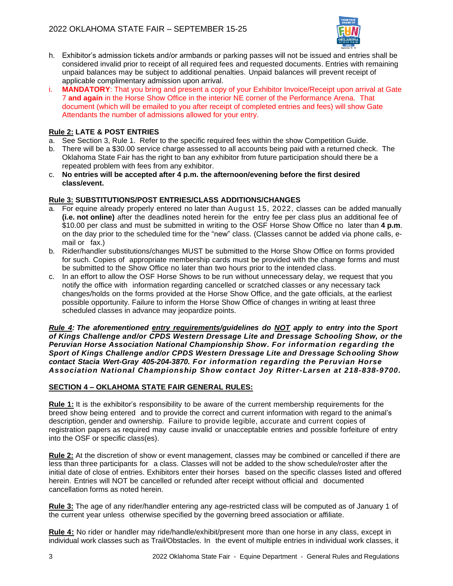

- h. Exhibitor's admission tickets and/or armbands or parking passes will not be issued and entries shall be considered invalid prior to receipt of all required fees and requested documents. Entries with remaining unpaid balances may be subject to additional penalties. Unpaid balances will prevent receipt of applicable complimentary admission upon arrival.
- MANDATORY: That you bring and present a copy of your Exhibitor Invoice/Receipt upon arrival at Gate 7 **and again** in the Horse Show Office in the interior NE corner of the Performance Arena. That document (which will be emailed to you after receipt of completed entries and fees) will show Gate Attendants the number of admissions allowed for your entry.

## **Rule 2: LATE & POST ENTRIES**

- a. See Section 3, Rule 1. Refer to the specific required fees within the show Competition Guide.
- b. There will be a \$30.00 service charge assessed to all accounts being paid with a returned check. The Oklahoma State Fair has the right to ban any exhibitor from future participation should there be a repeated problem with fees from any exhibitor.
- c. **No entries will be accepted after 4 p.m. the afternoon/evening before the first desired class/event.**

## **Rule 3: SUBSTITUTIONS/POST ENTRIES/CLASS ADDITIONS/CHANGES**

- a. For equine already properly entered no later than August 15, 2022, classes can be added manually **(i.e. not online)** after the deadlines noted herein for the entry fee per class plus an additional fee of \$10.00 per class and must be submitted in writing to the OSF Horse Show Office no later than **4 p.m**. on the day prior to the scheduled time for the "new" class. (Classes cannot be added via phone calls, email or fax.)
- b. Rider/handler substitutions/changes MUST be submitted to the Horse Show Office on forms provided for such. Copies of appropriate membership cards must be provided with the change forms and must be submitted to the Show Office no later than two hours prior to the intended class.
- c. In an effort to allow the OSF Horse Shows to be run without unnecessary delay, we request that you notify the office with information regarding cancelled or scratched classes or any necessary tack changes/holds on the forms provided at the Horse Show Office, and the gate officials, at the earliest possible opportunity. Failure to inform the Horse Show Office of changes in writing at least three scheduled classes in advance may jeopardize points.

*Rule 4: The aforementioned entry requirements/guidelines do NOT apply to entry into the Sport of Kings Challenge and/or CPDS Western Dressage Lite and Dressage Schooling Show, or the Peruvian Horse Association National Championship Show. For information regarding the Sport of Kings Challenge and/or CPDS Western Dressage Lite and Dressage Schooling Show contact Stacia Wert-Gray 405-204-3870. For information regarding the Peruvian Horse Association National Championship Show contact Joy Ritter-Larsen at 218-838-9700.* 

## **SECTION 4 – OKLAHOMA STATE FAIR GENERAL RULES:**

**Rule 1:** It is the exhibitor's responsibility to be aware of the current membership requirements for the breed show being entered and to provide the correct and current information with regard to the animal's description, gender and ownership. Failure to provide legible, accurate and current copies of registration papers as required may cause invalid or unacceptable entries and possible forfeiture of entry into the OSF or specific class(es).

**Rule 2:** At the discretion of show or event management, classes may be combined or cancelled if there are less than three participants for a class. Classes will not be added to the show schedule/roster after the initial date of close of entries. Exhibitors enter their horses based on the specific classes listed and offered herein. Entries will NOT be cancelled or refunded after receipt without official and documented cancellation forms as noted herein.

**Rule 3:** The age of any rider/handler entering any age-restricted class will be computed as of January 1 of the current year unless otherwise specified by the governing breed association or affiliate.

**Rule 4:** No rider or handler may ride/handle/exhibit/present more than one horse in any class, except in individual work classes such as Trail/Obstacles. In the event of multiple entries in individual work classes, it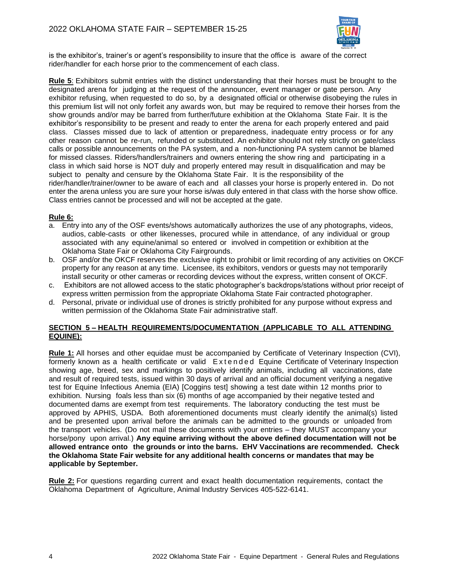

is the exhibitor's, trainer's or agent's responsibility to insure that the office is aware of the correct rider/handler for each horse prior to the commencement of each class.

**Rule 5**: Exhibitors submit entries with the distinct understanding that their horses must be brought to the designated arena for judging at the request of the announcer*,* event manager or gate person. Any exhibitor refusing, when requested to do so, by a designated official or otherwise disobeying the rules in this premium list will not only forfeit any awards won, but may be required to remove their horses from the show grounds and/or may be barred from further/future exhibition at the Oklahoma State Fair. It is the exhibitor's responsibility to be present and ready to enter the arena for each properly entered and paid class. Classes missed due to lack of attention or preparedness, inadequate entry process or for any other reason cannot be re-run, refunded or substituted. An exhibitor should not rely strictly on gate/class calls or possible announcements on the PA system, and a non-functioning PA system cannot be blamed for missed classes. Riders/handlers/trainers and owners entering the show ring and participating in a class in which said horse is NOT duly and properly entered may result in disqualification and may be subject to penalty and censure by the Oklahoma State Fair. It is the responsibility of the rider/handler/trainer/owner to be aware of each and all classes your horse is properly entered in. Do not enter the arena unless you are sure your horse is/was duly entered in that class with the horse show office. Class entries cannot be processed and will not be accepted at the gate.

#### **Rule 6:**

- a. Entry into any of the OSF events/shows automatically authorizes the use of any photographs, videos, audios, cable-casts or other likenesses, procured while in attendance, of any individual or group associated with any equine/animal so entered or involved in competition or exhibition at the Oklahoma State Fair or Oklahoma City Fairgrounds.
- b. OSF and/or the OKCF reserves the exclusive right to prohibit or limit recording of any activities on OKCF property for any reason at any time. Licensee, its exhibitors, vendors or guests may not temporarily install security or other cameras or recording devices without the express, written consent of OKCF.
- c. Exhibitors are not allowed access to the static photographer's backdrops/stations without prior receipt of express written permission from the appropriate Oklahoma State Fair contracted photographer.
- d. Personal, private or individual use of drones is strictly prohibited for any purpose without express and written permission of the Oklahoma State Fair administrative staff.

## **SECTION 5 – HEALTH REQUIREMENTS/DOCUMENTATION (APPLICABLE TO ALL ATTENDING EQUINE):**

**Rule 1:** All horses and other equidae must be accompanied by Certificate of Veterinary Inspection (CVI), formerly known as a health certificate or valid Extended Equine Certificate of Veterinary Inspection showing age, breed, sex and markings to positively identify animals, including all vaccinations, date and result of required tests, issued within 30 days of arrival and an official document verifying a negative test for Equine Infectious Anemia (EIA) [Coggins test] showing a test date within 12 months prior to exhibition. Nursing foals less than six (6) months of age accompanied by their negative tested and documented dams are exempt from test requirements. The laboratory conducting the test must be approved by APHIS, USDA. Both aforementioned documents must clearly identify the animal(s) listed and be presented upon arrival before the animals can be admitted to the grounds or unloaded from the transport vehicles. (Do not mail these documents with your entries – they MUST accompany your horse/pony upon arrival.) **Any equine arriving without the above defined documentation will not be allowed entrance onto the grounds or into the barns. EHV Vaccinations are recommended. Check the Oklahoma State Fair website for any additional health concerns or mandates that may be applicable by September.** 

**Rule 2:** For questions regarding current and exact health documentation requirements, contact the Oklahoma Department of Agriculture, Animal Industry Services 405-522-6141.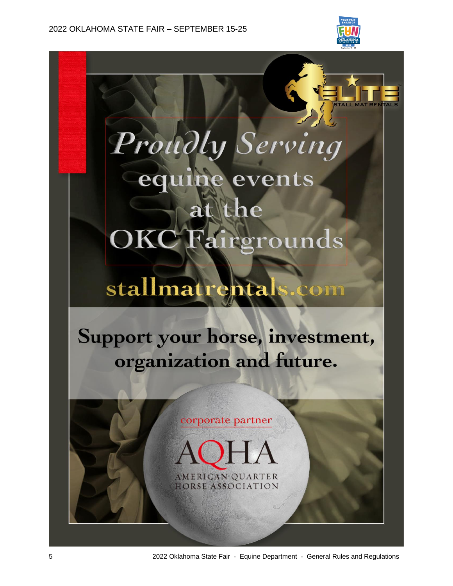



# stallmatrenta om

Support your horse, investment, organization and future.



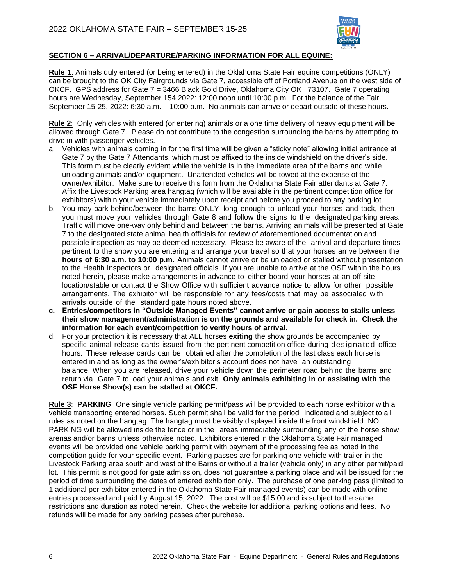

## **SECTION 6 – ARRIVAL/DEPARTURE/PARKING INFORMATION FOR ALL EQUINE:**

**Rule 1**: Animals duly entered (or being entered) in the Oklahoma State Fair equine competitions (ONLY) can be brought to the OK City Fairgrounds via Gate 7, accessible off of Portland Avenue on the west side of OKCF. GPS address for Gate 7 = 3466 Black Gold Drive, Oklahoma City OK 73107. Gate 7 operating hours are Wednesday, September 154 2022: 12:00 noon until 10:00 p.m. For the balance of the Fair, September 15-25, 2022: 6:30 a.m. – 10:00 p.m. No animals can arrive or depart outside of these hours.

**Rule 2**: Only vehicles with entered (or entering) animals or a one time delivery of heavy equipment will be allowed through Gate 7. Please do not contribute to the congestion surrounding the barns by attempting to drive in with passenger vehicles.

- a. Vehicles with animals coming in for the first time will be given a "sticky note" allowing initial entrance at Gate 7 by the Gate 7 Attendants, which must be affixed to the inside windshield on the driver's side. This form must be clearly evident while the vehicle is in the immediate area of the barns and while unloading animals and/or equipment. Unattended vehicles will be towed at the expense of the owner/exhibitor. Make sure to receive this form from the Oklahoma State Fair attendants at Gate 7. Affix the Livestock Parking area hangtag (which will be available in the pertinent competition office for exhibitors) within your vehicle immediately upon receipt and before you proceed to any parking lot.
- b. You may park behind/between the barns ONLY long enough to unload your horses and tack, then you must move your vehicles through Gate 8 and follow the signs to the designated parking areas. Traffic will move one-way only behind and between the barns. Arriving animals will be presented at Gate 7 to the designated state animal health officials for review of aforementioned documentation and possible inspection as may be deemed necessary. Please be aware of the arrival and departure times pertinent to the show you are entering and arrange your travel so that your horses arrive between the **hours of 6:30 a.m. to 10:00 p.m.** Animals cannot arrive or be unloaded or stalled without presentation to the Health Inspectors or designated officials. If you are unable to arrive at the OSF within the hours noted herein, please make arrangements in advance to either board your horses at an off-site location/stable or contact the Show Office with sufficient advance notice to allow for other possible arrangements. The exhibitor will be responsible for any fees/costs that may be associated with arrivals outside of the standard gate hours noted above.
- **c. Entries/competitors in "Outside Managed Events" cannot arrive or gain access to stalls unless their show management/administration is on the grounds and available for check in. Check the information for each event/competition to verify hours of arrival.**
- d. For your protection it is necessary that ALL horses **exiting** the show grounds be accompanied by specific animal release cards issued from the pertinent competition office during designated office hours. These release cards can be obtained after the completion of the last class each horse is entered in and as long as the owner's/exhibitor's account does not have an outstanding balance. When you are released, drive your vehicle down the perimeter road behind the barns and return via Gate 7 to load your animals and exit. **Only animals exhibiting in or assisting with the OSF Horse Show(s) can be stalled at OKCF.**

**Rule 3**: **PARKING** One single vehicle parking permit/pass will be provided to each horse exhibitor with a vehicle transporting entered horses. Such permit shall be valid for the period indicated and subject to all rules as noted on the hangtag. The hangtag must be visibly displayed inside the front windshield. NO PARKING will be allowed inside the fence or in the areas immediately surrounding any of the horse show arenas and/or barns unless otherwise noted. Exhibitors entered in the Oklahoma State Fair managed events will be provided one vehicle parking permit with payment of the processing fee as noted in the competition guide for your specific event. Parking passes are for parking one vehicle with trailer in the Livestock Parking area south and west of the Barns or without a trailer (vehicle only) in any other permit/paid lot. This permit is not good for gate admission, does not guarantee a parking place and will be issued for the period of time surrounding the dates of entered exhibition only. The purchase of one parking pass (limited to 1 additional per exhibitor entered in the Oklahoma State Fair managed events) can be made with online entries processed and paid by August 15, 2022. The cost will be \$15.00 and is subject to the same restrictions and duration as noted herein. Check the website for additional parking options and fees. No refunds will be made for any parking passes after purchase.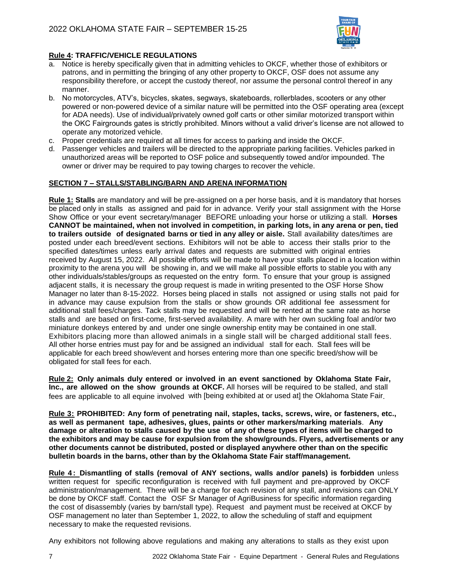

## **Rule 4: TRAFFIC/VEHICLE REGULATIONS**

- a. Notice is hereby specifically given that in admitting vehicles to OKCF, whether those of exhibitors or patrons, and in permitting the bringing of any other property to OKCF, OSF does not assume any responsibility therefore, or accept the custody thereof, nor assume the personal control thereof in any manner.
- b. No motorcycles, ATV's, bicycles, skates, segways, skateboards, rollerblades, scooters or any other powered or non-powered device of a similar nature will be permitted into the OSF operating area (except for ADA needs). Use of individual/privately owned golf carts or other similar motorized transport within the OKC Fairgrounds gates is strictly prohibited. Minors without a valid driver's license are not allowed to operate any motorized vehicle.
- c. Proper credentials are required at all times for access to parking and inside the OKCF.
- d. Passenger vehicles and trailers will be directed to the appropriate parking facilities. Vehicles parked in unauthorized areas will be reported to OSF police and subsequently towed and/or impounded. The owner or driver may be required to pay towing charges to recover the vehicle.

## **SECTION 7 – STALLS/STABLING/BARN AND ARENA INFORMATION**

**Rule 1: Stalls** are mandatory and will be pre-assigned on a per horse basis, and it is mandatory that horses be placed only in stalls as assigned and paid for in advance. Verify your stall assignment with the Horse Show Office or your event secretary/manager BEFORE unloading your horse or utilizing a stall. **Horses CANNOT be maintained, when not involved in competition, in parking lots, in any arena or pen, tied to trailers outside of designated barns or tied in any alley or aisle.** Stall availability dates/times are posted under each breed/event sections. Exhibitors will not be able to access their stalls prior to the specified dates/times unless early arrival dates and requests are submitted with original entries received by August 15, 2022. All possible efforts will be made to have your stalls placed in a location within proximity to the arena you will be showing in, and we will make all possible efforts to stable you with any other individuals/stables/groups as requested on the entry form. To ensure that your group is assigned adjacent stalls, it is necessary the group request is made in writing presented to the OSF Horse Show Manager no later than 8-15-2022. Horses being placed in stalls not assigned or using stalls not paid for in advance may cause expulsion from the stalls or show grounds OR additional fee assessment for additional stall fees/charges. Tack stalls may be requested and will be rented at the same rate as horse stalls and are based on first-come, first-served availability. A mare with her own suckling foal and/or two miniature donkeys entered by and under one single ownership entity may be contained in one stall. Exhibitors placing more than allowed animals in a single stall will be charged additional stall fees. All other horse entries must pay for and be assigned an individual stall for each. Stall fees will be applicable for each breed show/event and horses entering more than one specific breed/show will be obligated for stall fees for each.

**Rule 2: Only animals duly entered or involved in an event sanctioned by Oklahoma State Fair, Inc., are allowed on the show grounds at OKCF.** All horses will be required to be stalled, and stall fees are applicable to all equine involved with [being exhibited at or used at] the Oklahoma State Fair.

**Rule 3: PROHIBITED: Any form of penetrating nail, staples, tacks, screws, wire, or fasteners, etc., as well as permanent tape, adhesives, glues, paints or other markers/marking materials**. **Any damage or alteration to stalls caused by the use of any of these types of items will be charged to the exhibitors and may be cause for expulsion from the show/grounds. Flyers, advertisements or any other documents cannot be distributed, posted or displayed anywhere other than on the specific bulletin boards in the barns, other than by the Oklahoma State Fair staff/management.** 

**Rule 4 : Dismantling of stalls (removal of ANY sections, walls and/or panels) is forbidden** unless written request for specific reconfiguration is received with full payment and pre-approved by OKCF administration/management. There will be a charge for each revision of any stall, and revisions can ONLY be done by OKCF staff. Contact the OSF Sr Manager of AgriBusiness for specific information regarding the cost of disassembly (varies by barn/stall type). Request and payment must be received at OKCF by OSF management no later than September 1, 2022, to allow the scheduling of staff and equipment necessary to make the requested revisions.

Any exhibitors not following above regulations and making any alterations to stalls as they exist upon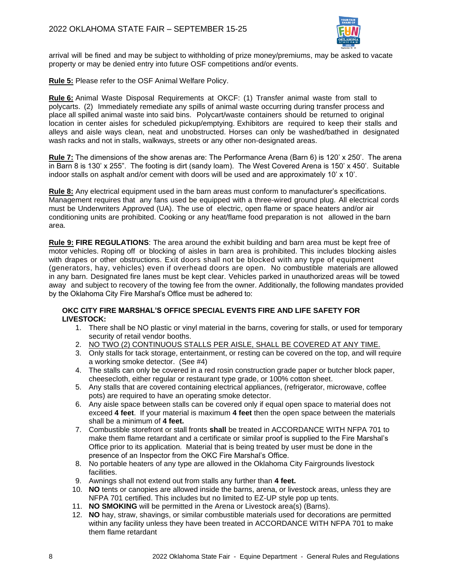

arrival will be fined and may be subject to withholding of prize money/premiums, may be asked to vacate property or may be denied entry into future OSF competitions and/or events.

**Rule 5:** Please refer to the OSF Animal Welfare Policy.

**Rule 6:** Animal Waste Disposal Requirements at OKCF: (1) Transfer animal waste from stall to polycarts. (2) Immediately remediate any spills of animal waste occurring during transfer process and place all spilled animal waste into said bins. Polycart/waste containers should be returned to original location in center aisles for scheduled pickup/emptying. Exhibitors are required to keep their stalls and alleys and aisle ways clean, neat and unobstructed. Horses can only be washed/bathed in designated wash racks and not in stalls, walkways, streets or any other non-designated areas.

**Rule 7:** The dimensions of the show arenas are: The Performance Arena (Barn 6) is 120' x 250'. The arena in Barn 8 is 130' x 255". The footing is dirt (sandy loam). The West Covered Arena is 150' x 450'. Suitable indoor stalls on asphalt and/or cement with doors will be used and are approximately 10' x 10'.

**Rule 8:** Any electrical equipment used in the barn areas must conform to manufacturer's specifications. Management requires that any fans used be equipped with a three-wired ground plug. All electrical cords must be Underwriters Approved (UA). The use of electric, open flame or space heaters and/or air conditioning units are prohibited. Cooking or any heat/flame food preparation is not allowed in the barn area.

**Rule 9: FIRE REGULATIONS**: The area around the exhibit building and barn area must be kept free of motor vehicles. Roping off or blocking of aisles in barn area is prohibited. This includes blocking aisles with drapes or other obstructions. Exit doors shall not be blocked with any type of equipment (generators, hay, vehicles) even if overhead doors are open. No combustible materials are allowed in any barn. Designated fire lanes must be kept clear. Vehicles parked in unauthorized areas will be towed away and subject to recovery of the towing fee from the owner. Additionally, the following mandates provided by the Oklahoma City Fire Marshal's Office must be adhered to:

#### **OKC CITY FIRE MARSHAL'S OFFICE SPECIAL EVENTS FIRE AND LIFE SAFETY FOR LIVESTOCK:**

- 1. There shall be NO plastic or vinyl material in the barns, covering for stalls, or used for temporary security of retail vendor booths.
- 2. NO TWO (2) CONTINUOUS STALLS PER AISLE, SHALL BE COVERED AT ANY TIME.
- 3. Only stalls for tack storage, entertainment, or resting can be covered on the top, and will require a working smoke detector. (See #4)
- 4. The stalls can only be covered in a red rosin construction grade paper or butcher block paper, cheesecloth, either regular or restaurant type grade, or 100% cotton sheet.
- 5. Any stalls that are covered containing electrical appliances, (refrigerator, microwave, coffee pots) are required to have an operating smoke detector.
- 6. Any aisle space between stalls can be covered only if equal open space to material does not exceed **4 feet**. If your material is maximum **4 feet** then the open space between the materials shall be a minimum of **4 feet.**
- 7. Combustible storefront or stall fronts **shall** be treated in ACCORDANCE WITH NFPA 701 to make them flame retardant and a certificate or similar proof is supplied to the Fire Marshal's Office prior to its application. Material that is being treated by user must be done in the presence of an Inspector from the OKC Fire Marshal's Office.
- 8. No portable heaters of any type are allowed in the Oklahoma City Fairgrounds livestock facilities.
- 9. Awnings shall not extend out from stalls any further than **4 feet.**
- 10. **NO** tents or canopies are allowed inside the barns, arena, or livestock areas, unless they are NFPA 701 certified. This includes but no limited to EZ-UP style pop up tents.
- 11. **NO SMOKING** will be permitted in the Arena or Livestock area(s) (Barns).
- 12. **NO** hay, straw, shavings, or similar combustible materials used for decorations are permitted within any facility unless they have been treated in ACCORDANCE WITH NFPA 701 to make them flame retardant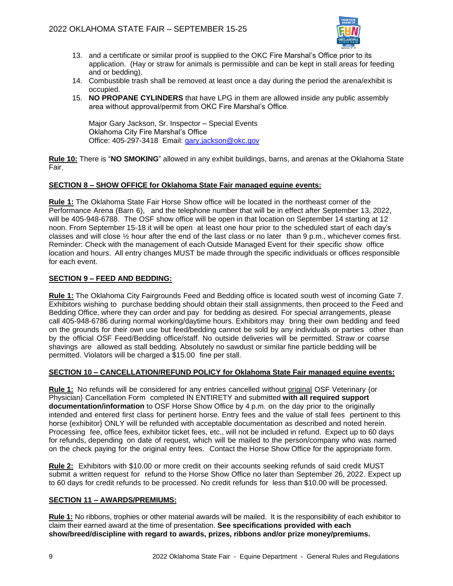

- 13. and a certificate or similar proof is supplied to the OKC Fire Marshal's Office prior to its application. (Hay or straw for animals is permissible and can be kept in stall areas for feeding and or bedding).
- 14. Combustible trash shall be removed at least once a day during the period the arena/exhibit is occupied.
- 15. **NO PROPANE CYLINDERS** that have LPG in them are allowed inside any public assembly area without approval/permit from OKC Fire Marshal's Office.

Major Gary Jackson, Sr. Inspector – Special Events Oklahoma City Fire Marshal's Office Office: 405-297-3418 Email: [gary.jackson@okc.gov](mailto:gary.jackson@okc.gov)

**Rule 10:** There is "**NO SMOKING**" allowed in any exhibit buildings, barns, and arenas at the Oklahoma State Fair.

## **SECTION 8 – SHOW OFFICE for Oklahoma State Fair managed equine events:**

**Rule 1:** The Oklahoma State Fair Horse Show office will be located in the northeast corner of the Performance Arena (Barn 6), and the telephone number that will be in effect after September 13, 2022, will be 405-948-6788. The OSF show office will be open in that location on September 14 starting at 12 noon. From September 15-18 it will be open at least one hour prior to the scheduled start of each day's classes and will close ½ hour after the end of the last class or no later than 9 p.m., whichever comes first. Reminder: Check with the management of each Outside Managed Event for their specific show office location and hours. All entry changes MUST be made through the specific individuals or offices responsible for each event.

#### **SECTION 9 – FEED AND BEDDING:**

**Rule 1:** The Oklahoma City Fairgrounds Feed and Bedding office is located south west of incoming Gate 7. Exhibitors wishing to purchase bedding should obtain their stall assignments, then proceed to the Feed and Bedding Office, where they can order and pay for bedding as desired. For special arrangements, please call 405-948-6786 during normal working/daytime hours. Exhibitors may bring their own bedding and feed on the grounds for their own use but feed/bedding cannot be sold by any individuals or parties other than by the official OSF Feed/Bedding office/staff. No outside deliveries will be permitted. Straw or coarse shavings are allowed as stall bedding. Absolutely no sawdust or similar fine particle bedding will be permitted. Violators will be charged a \$15.00 fine per stall.

#### **SECTION 10 – CANCELLATION/REFUND POLICY for Oklahoma State Fair managed equine events:**

**Rule 1:** No refunds will be considered for any entries cancelled without original OSF Veterinary {or Physician} Cancellation Form completed IN ENTIRETY and submitted **with all required support documentation/information** to OSF Horse Show Office by 4 p.m. on the day prior to the originally intended and entered first class for pertinent horse. Entry fees and the value of stall fees pertinent to this horse {exhibitor} ONLY will be refunded with acceptable documentation as described and noted herein. Processing fee, office fees, exhibitor ticket fees, etc., will not be included in refund. Expect up to 60 days for refunds, depending on date of request, which will be mailed to the person/company who was named on the check paying for the original entry fees. Contact the Horse Show Office for the appropriate form.

**Rule 2:** Exhibitors with \$10.00 or more credit on their accounts seeking refunds of said credit MUST submit a written request for refund to the Horse Show Office no later than September 26, 2022. Expect up to 60 days for credit refunds to be processed. No credit refunds for less than \$10.00 will be processed.

#### **SECTION 11 – AWARDS/PREMIUMS:**

**Rule 1:** No ribbons, trophies or other material awards will be mailed. It is the responsibility of each exhibitor to claim their earned award at the time of presentation. **See specifications provided with each show/breed/discipline with regard to awards, prizes, ribbons and/or prize money/premiums.**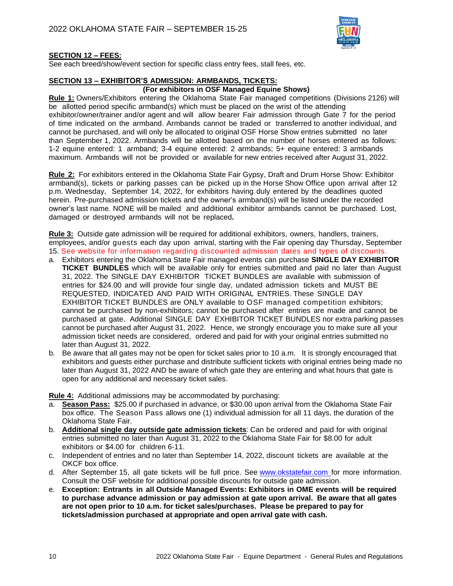

#### **SECTION 12 – FEES:**

See each breed/show/event section for specific class entry fees, stall fees, etc.

#### **SECTION 13 – EXHIBITOR'S ADMISSION: ARMBANDS, TICKETS:**

## **(For exhibitors in OSF Managed Equine Shows)**

**Rule 1:** Owners/Exhibitors entering the Oklahoma State Fair managed competitions (Divisions 2126) will be allotted period specific armband(s) which must be placed on the wrist of the attending exhibitor/owner/trainer and/or agent and will allow bearer Fair admission through Gate 7 for the period of time indicated on the armband. Armbands cannot be traded or transferred to another individual, and cannot be purchased, and will only be allocated to original OSF Horse Show entries submitted no later than September 1, 2022. Armbands will be allotted based on the number of horses entered as follows: 1-2 equine entered: 1 armband; 3-4 equine entered: 2 armbands; 5+ equine entered: 3 armbands maximum. Armbands will not be provided or available for new entries received after August 31, 2022.

**Rule 2:** For exhibitors entered in the Oklahoma State Fair Gypsy, Draft and Drum Horse Show: Exhibitor armband(s), tickets or parking passes can be picked up in the Horse Show Office upon arrival after 12 p.m. Wednesday, September 14, 2022, for exhibitors having duly entered by the deadlines quoted herein. Pre-purchased admission tickets and the owner's armband(s) will be listed under the recorded owner's last name. NONE will be mailed and additional exhibitor armbands cannot be purchased. Lost, damaged or destroyed armbands will not be replaced**.**

**Rule 3:** Outside gate admission will be required for additional exhibitors, owners, handlers, trainers, employees, and/or guests each day upon arrival, starting with the Fair opening day Thursday, September 15. See website for information regarding discounted admission dates and types of discounts.

- a. Exhibitors entering the Oklahoma State Fair managed events can purchase **SINGLE DAY EXHIBITOR TICKET BUNDLES** which will be available only for entries submitted and paid no later than August 31, 2022. The SINGLE DAY EXHIBITOR TICKET BUNDLES are available with submission of entries for \$24.00 and will provide four single day, undated admission tickets and MUST BE REQUESTED, INDICATED AND PAID WITH ORIGINAL ENTRIES. These SINGLE DAY EXHIBITOR TICKET BUNDLES are ONLY available to OSF managed competition exhibitors; cannot be purchased by non-exhibitors; cannot be purchased after entries are made and cannot be purchased at gate. Additional SINGLE DAY EXHIBITOR TICKET BUNDLES nor extra parking passes cannot be purchased after August 31, 2022. Hence, we strongly encourage you to make sure all your admission ticket needs are considered, ordered and paid for with your original entries submitted no later than August 31, 2022.
- b. Be aware that all gates may not be open for ticket sales prior to 10 a.m. It is strongly encouraged that exhibitors and guests either purchase and distribute sufficient tickets with original entries being made no later than August 31, 2022 AND be aware of which gate they are entering and what hours that gate is open for any additional and necessary ticket sales.

**Rule 4:** Additional admissions may be accommodated by purchasing:

- a. **Season Pass:** \$25.00 if purchased in advance, or \$30.00 upon arrival from the Oklahoma State Fair box office. The Season Pass allows one (1) individual admission for all 11 days, the duration of the Oklahoma State Fair.
- b. **Additional single day outside gate admission tickets**: Can be ordered and paid for with original entries submitted no later than August 31, 2022 to the Oklahoma State Fair for \$8.00 for adult exhibitors or \$4.00 for children 6-11.
- c. Independent of entries and no later than September 14, 2022, discount tickets are available at the OKCF box office.
- d. After September 15, all gate tickets will be full price. See [www.okstatefair.com](http://www.okstatefair.com/) for more information. Consult the OSF website for additional possible discounts for outside gate admission.
- e. **Exception: Entrants in all Outside Managed Events: Exhibitors in OME events will be required to purchase advance admission or pay admission at gate upon arrival. Be aware that all gates are not open prior to 10 a.m. for ticket sales/purchases. Please be prepared to pay for tickets/admission purchased at appropriate and open arrival gate with cash.**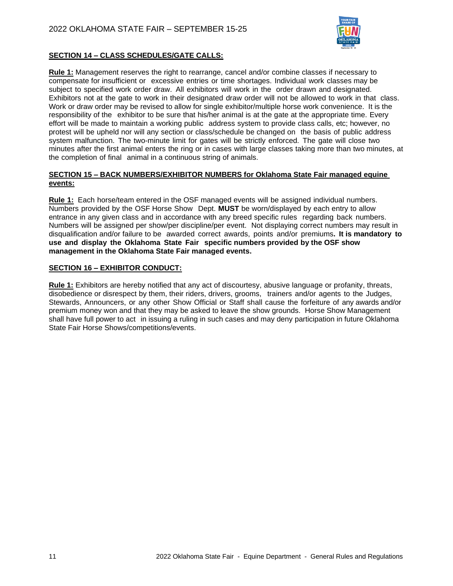

## **SECTION 14 – CLASS SCHEDULES/GATE CALLS:**

**Rule 1:** Management reserves the right to rearrange, cancel and/or combine classes if necessary to compensate for insufficient or excessive entries or time shortages. Individual work classes may be subject to specified work order draw. All exhibitors will work in the order drawn and designated. Exhibitors not at the gate to work in their designated draw order will not be allowed to work in that class. Work or draw order may be revised to allow for single exhibitor/multiple horse work convenience. It is the responsibility of the exhibitor to be sure that his/her animal is at the gate at the appropriate time. Every effort will be made to maintain a working public address system to provide class calls, etc; however, no protest will be upheld nor will any section or class/schedule be changed on the basis of public address system malfunction. The two-minute limit for gates will be strictly enforced. The gate will close two minutes after the first animal enters the ring or in cases with large classes taking more than two minutes, at the completion of final animal in a continuous string of animals.

#### **SECTION 15 – BACK NUMBERS/EXHIBITOR NUMBERS for Oklahoma State Fair managed equine events:**

**Rule 1:** Each horse/team entered in the OSF managed events will be assigned individual numbers. Numbers provided by the OSF Horse Show Dept. **MUST** be worn/displayed by each entry to allow entrance in any given class and in accordance with any breed specific rules regarding back numbers. Numbers will be assigned per show/per discipline/per event. Not displaying correct numbers may result in disqualification and/or failure to be awarded correct awards, points and/or premiums**. It is mandatory to use and display the Oklahoma State Fair specific numbers provided by the OSF show management in the Oklahoma State Fair managed events.**

#### **SECTION 16 – EXHIBITOR CONDUCT:**

**Rule 1:** Exhibitors are hereby notified that any act of discourtesy, abusive language or profanity, threats, disobedience or disrespect by them, their riders, drivers, grooms, trainers and/or agents to the Judges, Stewards, Announcers, or any other Show Official or Staff shall cause the forfeiture of any awards and/or premium money won and that they may be asked to leave the show grounds. Horse Show Management shall have full power to act in issuing a ruling in such cases and may deny participation in future Oklahoma State Fair Horse Shows/competitions/events.